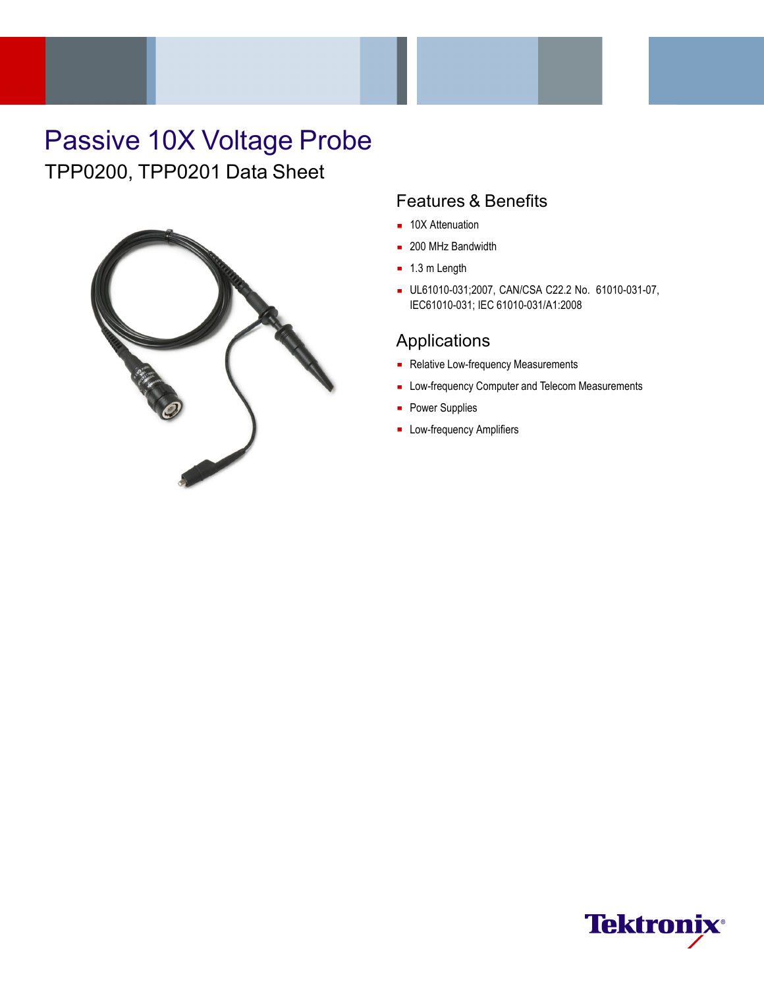# Passive 10X Voltage Probe TPP0200, TPP0201 Data Sheet



### Features & Benefits

- 10X Attenuation
- 200 MHz Bandwidth
- $\blacksquare$  1.3 m Length
- UL61010-031;2007, CAN/CSA C22.2 No. 61010-031-07, IEC61010-031; IEC 61010-031/A1:2008

### Applications

- Relative Low-frequency Measurements
- **Low-frequency Computer and Telecom Measurements**
- **Power Supplies**
- **Low-frequency Amplifiers**

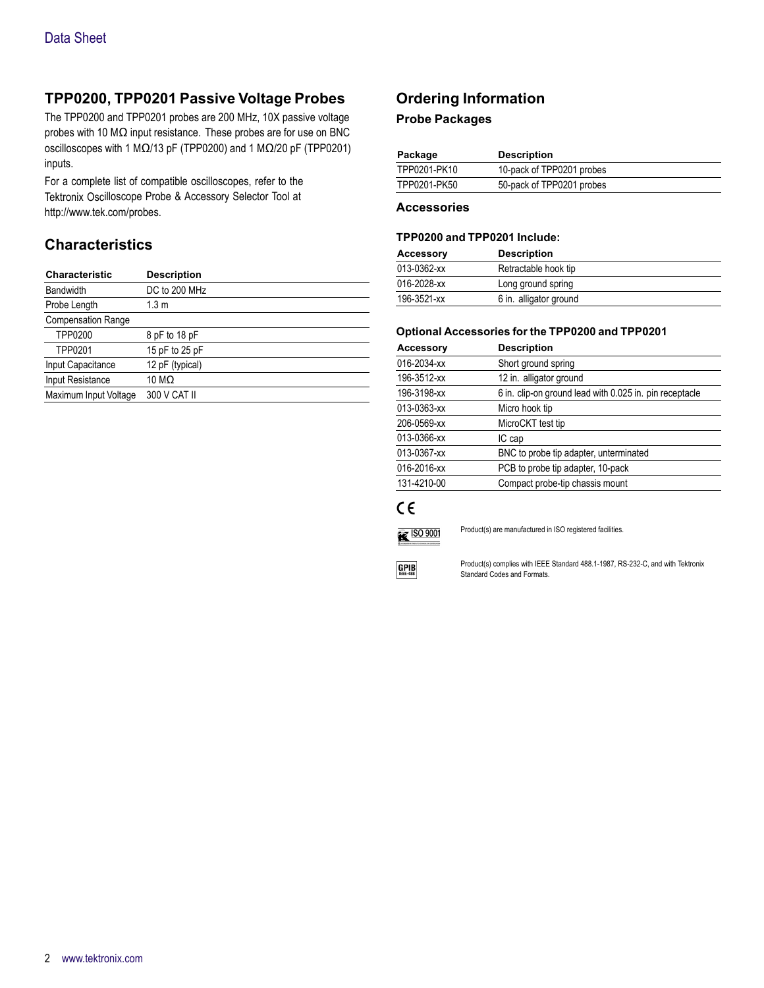### **TPP0200, TPP0201 Passive Voltage Probes**

The TPP0200 and TPP0201 probes are 200 MHz, 10X passive voltage probes with 10 MΩ input resistance. These probes are for use on BNC oscilloscopes with 1 MΩ/13 pF (TPP0200) and 1 MΩ/20 pF (TPP0201) inputs.

For a complete list of compatible oscilloscopes, refer to the Tektronix Oscilloscope Probe & Accessory Selector Tool at <http://www.tek.com/probes>.

### **Characteristics**

| <b>Characteristic</b>     | <b>Description</b> |
|---------------------------|--------------------|
| <b>Bandwidth</b>          | DC to 200 MHz      |
| Probe Length              | 1.3 m              |
| <b>Compensation Range</b> |                    |
| <b>TPP0200</b>            | 8 pF to 18 pF      |
| TPP0201                   | 15 pF to 25 pF     |
| Input Capacitance         | 12 pF (typical)    |
| Input Resistance          | 10 M $\Omega$      |
| Maximum Input Voltage     | 300 V CAT II       |
|                           |                    |

### **Ordering Information**

#### **Probe Packages**

| Package      | <b>Description</b>        |
|--------------|---------------------------|
| TPP0201-PK10 | 10-pack of TPP0201 probes |
| TPP0201-PK50 | 50-pack of TPP0201 probes |

#### **Accessories**

#### **TPP0200 and TPP0201 Include:**

| <b>Accessory</b> | <b>Description</b>     |  |
|------------------|------------------------|--|
| 013-0362-xx      | Retractable hook tip   |  |
| 016-2028-xx      | Long ground spring     |  |
| 196-3521-xx      | 6 in. alligator ground |  |

#### **Optional Accessories for the TPP0200 and TPP0201**

| <b>Accessory</b> | <b>Description</b>                                      |
|------------------|---------------------------------------------------------|
| 016-2034-xx      | Short ground spring                                     |
| 196-3512-xx      | 12 in. alligator ground                                 |
| 196-3198-xx      | 6 in. clip-on ground lead with 0.025 in. pin receptacle |
| 013-0363-xx      | Micro hook tip                                          |
| 206-0569-xx      | MicroCKT test tip                                       |
| 013-0366-xx      | IC cap                                                  |
| 013-0367-xx      | BNC to probe tip adapter, unterminated                  |
| 016-2016-xx      | PCB to probe tip adapter, 10-pack                       |
| 131-4210-00      | Compact probe-tip chassis mount                         |

## $C \in$



Product(s) are manufactured in ISO registered facilities.



Product(s) complies with IEEE Standard 488.1-1987, RS-232-C, and with Tektronix Standard Codes and Formats.